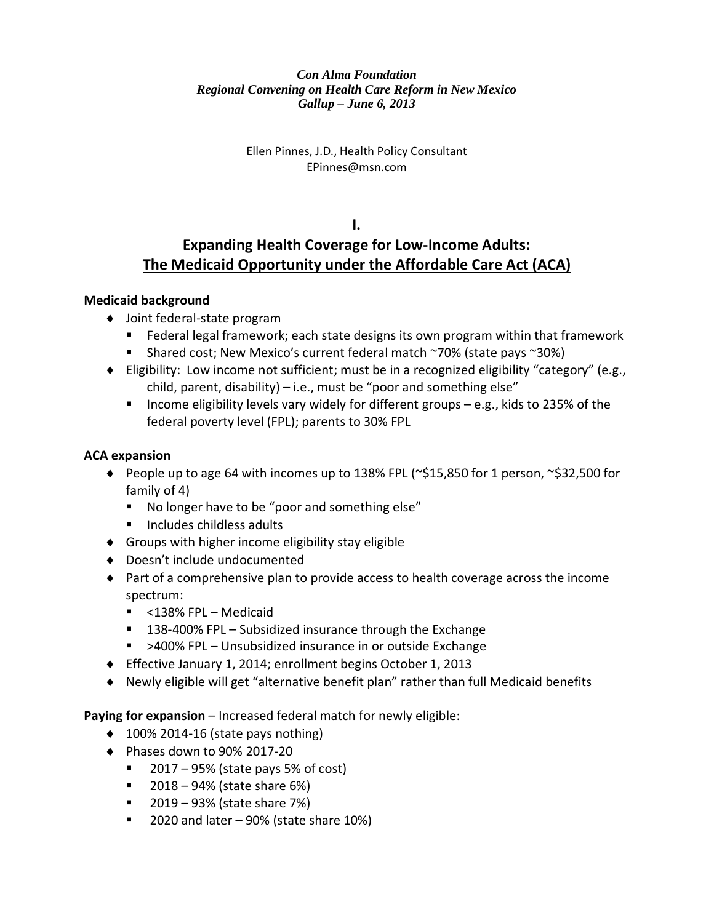#### *Con Alma Foundation Regional Convening on Health Care Reform in New Mexico Gallup – June 6, 2013*

Ellen Pinnes, J.D., Health Policy Consultant EPinnes@msn.com

**I.**

# **Expanding Health Coverage for Low-Income Adults: The Medicaid Opportunity under the Affordable Care Act (ACA)**

## **Medicaid background**

- ♦ Joint federal-state program
	- Federal legal framework; each state designs its own program within that framework
	- Shared cost; New Mexico's current federal match  $\sim$ 70% (state pays  $\sim$ 30%)
- $\bullet$  Eligibility: Low income not sufficient; must be in a recognized eligibility "category" (e.g., child, parent, disability)  $-$  i.e., must be "poor and something else"
	- Income eligibility levels vary widely for different groups  $-e.g.,$  kids to 235% of the federal poverty level (FPL); parents to 30% FPL

## **ACA expansion**

- ♦ People up to age 64 with incomes up to 138% FPL (~\$15,850 for 1 person, ~\$32,500 for family of 4)
	- No longer have to be "poor and something else"
	- Includes childless adults
- ♦ Groups with higher income eligibility stay eligible
- ♦ Doesn't include undocumented
- ♦ Part of a comprehensive plan to provide access to health coverage across the income spectrum:
	- <138% FPL Medicaid
	- 138-400% FPL Subsidized insurance through the Exchange
	- >400% FPL Unsubsidized insurance in or outside Exchange
- ♦ Effective January 1, 2014; enrollment begins October 1, 2013
- ♦ Newly eligible will get "alternative benefit plan" rather than full Medicaid benefits

**Paying for expansion** – Increased federal match for newly eligible:

- $\triangleleft$  100% 2014-16 (state pays nothing)
- ♦ Phases down to 90% 2017-20
	- 2017 95% (state pays 5% of cost)
	- $\blacksquare$  2018 94% (state share 6%)
	- 2019 93% (state share 7%)
	- $\blacksquare$  2020 and later 90% (state share 10%)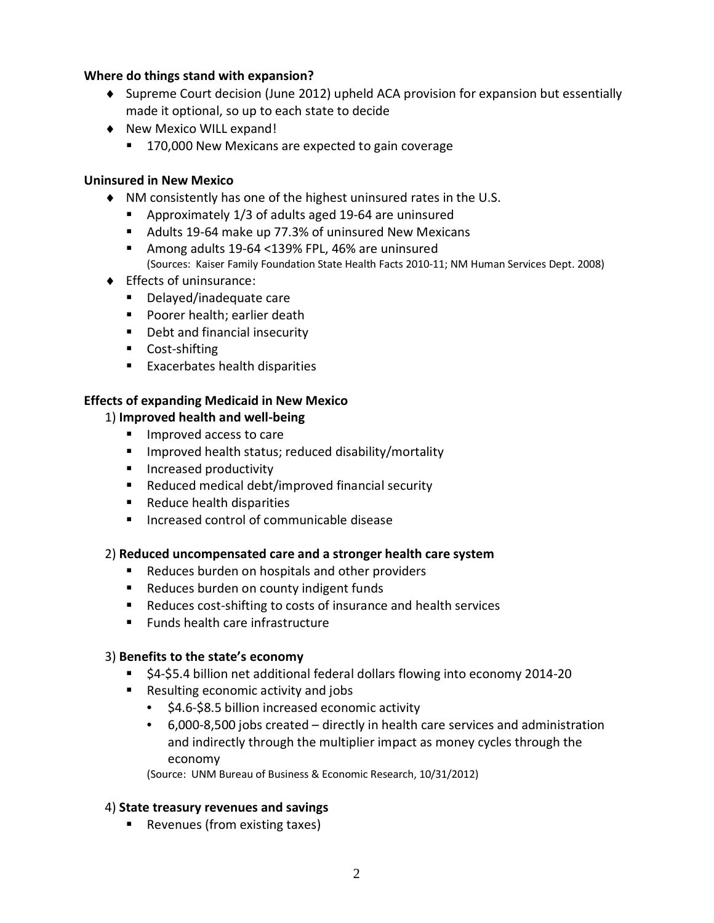## **Where do things stand with expansion?**

- ♦ Supreme Court decision (June 2012) upheld ACA provision for expansion but essentially made it optional, so up to each state to decide
- ♦ New Mexico WILL expand!
	- 170,000 New Mexicans are expected to gain coverage

## **Uninsured in New Mexico**

- ♦ NM consistently has one of the highest uninsured rates in the U.S.
	- Approximately 1/3 of adults aged 19-64 are uninsured
	- Adults 19-64 make up 77.3% of uninsured New Mexicans
	- Among adults 19-64 <139% FPL, 46% are uninsured (Sources: Kaiser Family Foundation State Health Facts 2010-11; NM Human Services Dept. 2008)
- ♦ Effects of uninsurance:
	- Delayed/inadequate care
	- **Poorer health: earlier death**
	- **Debt and financial insecurity**
	- Cost-shifting
	- **Exacerbates health disparities**

## **Effects of expanding Medicaid in New Mexico**

#### 1) **Improved health and well-being**

- **Improved access to care**
- Improved health status; reduced disability/mortality
- **Increased productivity**
- Reduced medical debt/improved financial security
- Reduce health disparities
- Increased control of communicable disease

#### 2) **Reduced uncompensated care and a stronger health care system**

- Reduces burden on hospitals and other providers
- Reduces burden on county indigent funds
- Reduces cost-shifting to costs of insurance and health services
- **Funds health care infrastructure**

#### 3) **Benefits to the state's economy**

- \$4-\$5.4 billion net additional federal dollars flowing into economy 2014-20
- Resulting economic activity and jobs
	- \$4.6-\$8.5 billion increased economic activity
	- 6,000-8,500 jobs created directly in health care services and administration and indirectly through the multiplier impact as money cycles through the economy

(Source: UNM Bureau of Business & Economic Research, 10/31/2012)

#### 4) **State treasury revenues and savings**

■ Revenues (from existing taxes)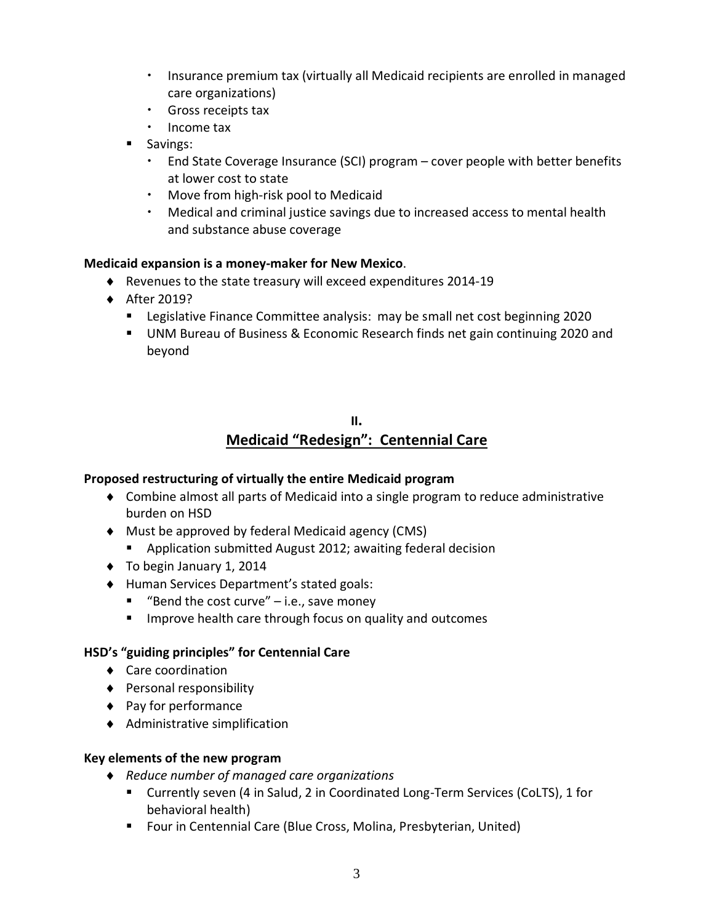- Insurance premium tax (virtually all Medicaid recipients are enrolled in managed care organizations)
- Gross receipts tax
- Income tax
- **Savings:** 
	- End State Coverage Insurance (SCI) program cover people with better benefits at lower cost to state
	- Move from high-risk pool to Medicaid
	- Medical and criminal justice savings due to increased access to mental health and substance abuse coverage

#### **Medicaid expansion is a money-maker for New Mexico**.

- ♦ Revenues to the state treasury will exceed expenditures 2014-19
- ♦ After 2019?
	- **EXTER** Legislative Finance Committee analysis: may be small net cost beginning 2020
	- UNM Bureau of Business & Economic Research finds net gain continuing 2020 and beyond

## **II. Medicaid "Redesign": Centennial Care**

#### **Proposed restructuring of virtually the entire Medicaid program**

- ♦ Combine almost all parts of Medicaid into a single program to reduce administrative burden on HSD
- ♦ Must be approved by federal Medicaid agency (CMS)
	- Application submitted August 2012; awaiting federal decision
- ♦ To begin January 1, 2014
- ♦ Human Services Department's stated goals:
	- **E** "Bend the cost curve"  $-$  i.e., save money
	- **IMPROVE health care through focus on quality and outcomes**

#### **HSD's "guiding principles" for Centennial Care**

- ♦ Care coordination
- ♦ Personal responsibility
- ♦ Pay for performance
- ♦ Administrative simplification

#### **Key elements of the new program**

- ♦ *Reduce number of managed care organizations*
	- Currently seven (4 in Salud, 2 in Coordinated Long-Term Services (CoLTS), 1 for behavioral health)
	- **Figure 1** Four in Centennial Care (Blue Cross, Molina, Presbyterian, United)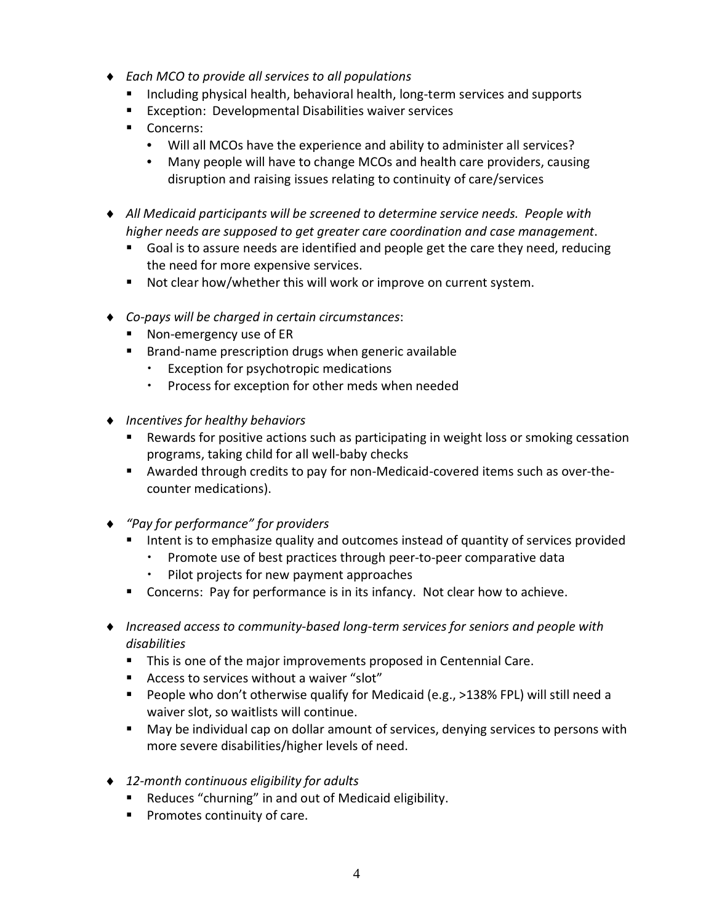- ♦ *Each MCO to provide all services to all populations*
	- **Including physical health, behavioral health, long-term services and supports**
	- **Exception: Developmental Disabilities waiver services**
	- Concerns:
		- Will all MCOs have the experience and ability to administer all services?
		- Many people will have to change MCOs and health care providers, causing disruption and raising issues relating to continuity of care/services
- ♦ *All Medicaid participants will be screened to determine service needs. People with higher needs are supposed to get greater care coordination and case management*.
	- Goal is to assure needs are identified and people get the care they need, reducing the need for more expensive services.
	- Not clear how/whether this will work or improve on current system.
- ♦ *Co-pays will be charged in certain circumstances*:
	- Non-emergency use of ER
	- **Brand-name prescription drugs when generic available** 
		- Exception for psychotropic medications
		- Process for exception for other meds when needed
- ♦ *Incentives for healthy behaviors*
	- **Rewards for positive actions such as participating in weight loss or smoking cessation** programs, taking child for all well-baby checks
	- Awarded through credits to pay for non-Medicaid-covered items such as over-thecounter medications).
- ♦ *"Pay for performance" for providers*
	- Intent is to emphasize quality and outcomes instead of quantity of services provided
		- Promote use of best practices through peer-to-peer comparative data
		- Pilot projects for new payment approaches
	- **Concerns: Pay for performance is in its infancy. Not clear how to achieve.**
- ♦ *Increased access to community-based long-term services for seniors and people with disabilities*
	- $\blacksquare$  This is one of the major improvements proposed in Centennial Care.
	- Access to services without a waiver "slot"
	- People who don't otherwise qualify for Medicaid (e.g., >138% FPL) will still need a waiver slot, so waitlists will continue.
	- May be individual cap on dollar amount of services, denying services to persons with more severe disabilities/higher levels of need.
- ♦ *12-month continuous eligibility for adults*
	- Reduces "churning" in and out of Medicaid eligibility.
	- **Promotes continuity of care.**